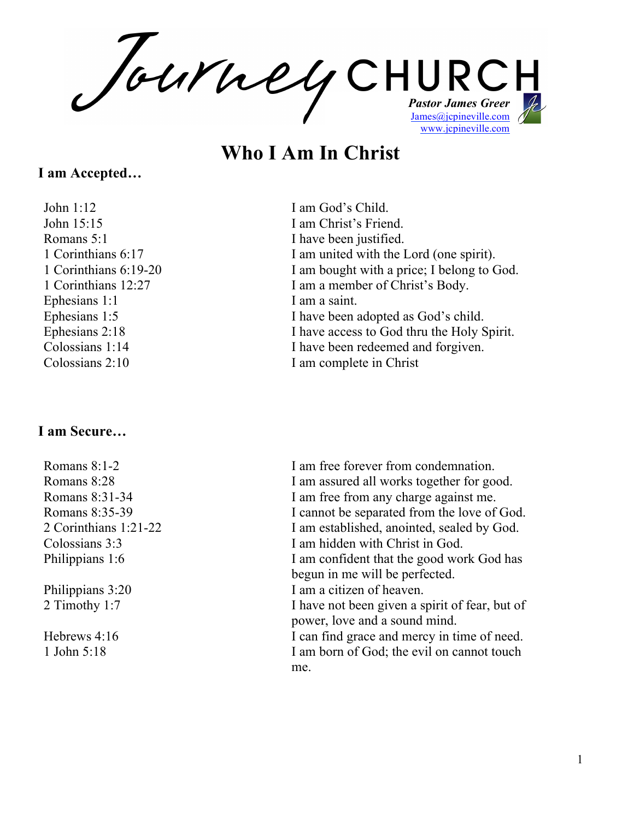*Pastor James Greer* James@jcpineville.com www.jcpineville.com

# **Who I Am In Christ**

### **I am Accepted…**

John 1:12 I am God's Child. John 15:15 I am Christ's Friend. Romans 5:1 I have been justified. Ephesians 1:1 I am a saint.

#### **I am Secure…**

1 Corinthians 6:17 I am united with the Lord (one spirit). 1 Corinthians 6:19-20 I am bought with a price; I belong to God. 1 Corinthians 12:27 I am a member of Christ's Body. Ephesians 1:5 I have been adopted as God's child. Ephesians 2:18 I have access to God thru the Holy Spirit. Colossians 1:14 I have been redeemed and forgiven. Colossians 2:10 I am complete in Christ

Romans 8:1-2 **I** am free forever from condemnation. Romans 8:28 I am assured all works together for good. Romans 8:31-34 I am free from any charge against me. Romans 8:35-39 I cannot be separated from the love of God. 2 Corinthians 1:21-22 I am established, anointed, sealed by God. Colossians 3:3 I am hidden with Christ in God. Philippians 1:6 I am confident that the good work God has begun in me will be perfected. Philippians 3:20 I am a citizen of heaven. 2 Timothy 1:7 I have not been given a spirit of fear, but of power, love and a sound mind. Hebrews 4:16 I can find grace and mercy in time of need. 1 John 5:18 I am born of God; the evil on cannot touch me.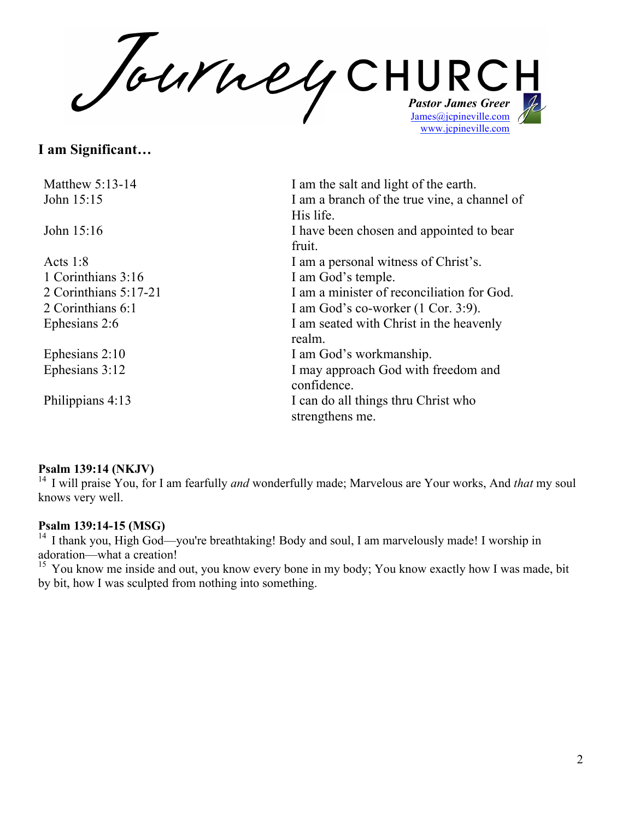*Pastor James Greer* James@jcpineville.com www.jcpineville.com

## **I am Significant…**

| Matthew $5:13-14$<br>John 15:15 | I am the salt and light of the earth.<br>I am a branch of the true vine, a channel of |
|---------------------------------|---------------------------------------------------------------------------------------|
|                                 | His life.                                                                             |
| John 15:16                      | I have been chosen and appointed to bear                                              |
|                                 | fruit.                                                                                |
| Acts $1:8$                      | I am a personal witness of Christ's.                                                  |
| 1 Corinthians 3:16              | I am God's temple.                                                                    |
| 2 Corinthians 5:17-21           | I am a minister of reconciliation for God.                                            |
| 2 Corinthians 6:1               | I am God's co-worker $(1 \text{ Cor. } 3.9)$ .                                        |
| Ephesians 2:6                   | I am seated with Christ in the heavenly                                               |
|                                 | realm.                                                                                |
| Ephesians $2:10$                | I am God's workmanship.                                                               |
| Ephesians 3:12                  | I may approach God with freedom and                                                   |
|                                 | confidence.                                                                           |
| Philippians 4:13                | I can do all things thru Christ who                                                   |
|                                 | strengthens me.                                                                       |

#### **Psalm 139:14 (NKJV)**

<sup>14</sup> I will praise You, for I am fearfully *and* wonderfully made; Marvelous are Your works, And *that* my soul knows very well.

#### **Psalm 139:14-15 (MSG)**

<sup>14</sup> I thank you, High God—you're breathtaking! Body and soul, I am marvelously made! I worship in adoration—what a creation!

<sup>15</sup> You know me inside and out, you know every bone in my body; You know exactly how I was made, bit by bit, how I was sculpted from nothing into something.